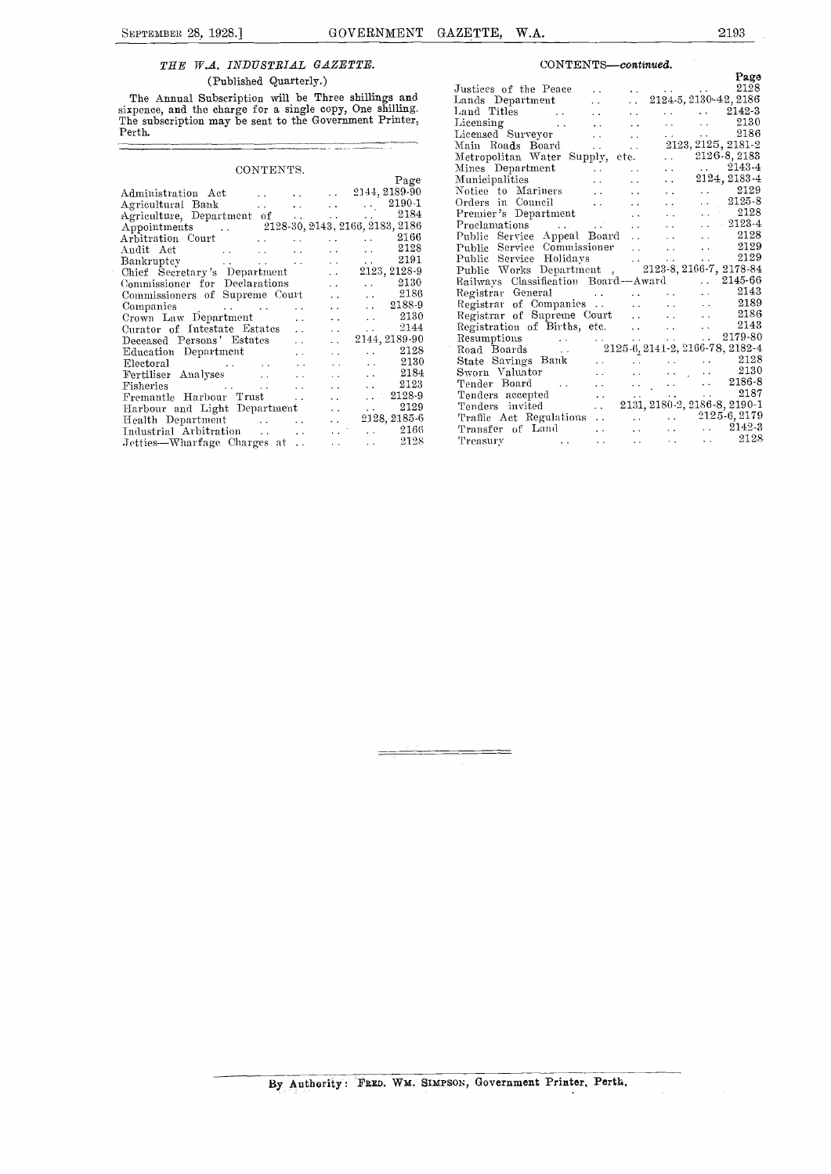### THE W.A. INDUSTRIAL GAZETTE.

(Published Quarterly.)

The Annual Subscription will be Three shillings and Land sixpence, and the charge for a single copy, One shilling. The subscription may be sent to the Government Printer, Perth.

### CONTENTS.

| UUN LEIVID.                                   |                      |                             |                       | ******           |
|-----------------------------------------------|----------------------|-----------------------------|-----------------------|------------------|
|                                               |                      |                             | Page                  | Mur              |
| Administration Act                            |                      | $\ldots$ . 2144, 2189-90    |                       | Not              |
| Agricultural Bank 2190-1                      |                      |                             |                       | Ord              |
| Agriculture, Department of    2184            |                      |                             |                       | Prei             |
| Appointments  2128-30, 2143, 2166, 2183, 2186 |                      |                             |                       | Pro              |
|                                               |                      |                             |                       | Pub              |
| Audit Act 2128                                |                      |                             |                       | Pub              |
|                                               |                      |                             |                       | Puh              |
| Chief Secretary's Department                  |                      |                             | $\ldots$ 2123, 2128-9 | Put              |
| Commissioner for Declarations                 |                      |                             | $\ldots$ 2130         | Rail             |
| Commissioners of Supreme Court                |                      |                             | $\ldots$ 2186         | Reg              |
|                                               | $\ddot{\phantom{0}}$ | and the con-                | $\ldots$ 2188-9       | Reg              |
| Crown Law Department                          | $\ddot{\phantom{a}}$ |                             | $\ldots$ 2130         | Reg              |
| Curator of Intestate Estates                  | $\ddot{\phantom{a}}$ | $\mathbf{r}$ , $\mathbf{r}$ | $\ldots$ 2144         | Reg              |
| Deceased Persons' Estates                     | $\ddot{\phantom{a}}$ | and the                     | 2144, 2189-90         | Res              |
| Education Department                          |                      | and the state of the state  | $\ldots$ 2128         | <sup>1</sup> Roa |
|                                               |                      | $\ldots$ 2130               |                       | Sta              |
|                                               |                      |                             | $\ldots$ 2184         | $_{\rm Sw}$      |
|                                               |                      | and the con-                | $\ldots$ 2123         | Ten              |
| Fremantle Harbour Trust                       |                      | <b>Alan Adam</b>            | $\therefore$ 2128-9   | Ten              |
| Harbour and Light Department                  |                      | $\mathbf{r}$ , $\mathbf{r}$ | $\ldots$ 2129         | Ten              |
| Health Department 1. 2128, 2185-6             |                      |                             |                       | Tra              |
|                                               |                      |                             |                       | Tra              |
| Jetties—Wharfage Charges at                   |                      | and the con-                | $\ldots$ 2128         | Tre              |
|                                               |                      |                             |                       |                  |

#### $CONTENTS—continued.$

|                                 |                                                                                                                                                                                                                                                                |  |  | Page |
|---------------------------------|----------------------------------------------------------------------------------------------------------------------------------------------------------------------------------------------------------------------------------------------------------------|--|--|------|
|                                 | Page<br>Lands Department<br>Land Titles<br>Land Titles<br>Land Titles<br>Land Titles<br>Land Titles<br>Land Titles<br>Land Titles<br>Land Surveyor<br>Land Surveyor<br>Main Roads Board<br>Main Roads<br>Main Surveyor<br>Main Roads<br>Main Surveyor<br>Lands |  |  |      |
| ınd                             |                                                                                                                                                                                                                                                                |  |  |      |
| ng.                             |                                                                                                                                                                                                                                                                |  |  |      |
| $\mathop{\text{ter}}\nolimits,$ |                                                                                                                                                                                                                                                                |  |  |      |
|                                 |                                                                                                                                                                                                                                                                |  |  |      |
|                                 |                                                                                                                                                                                                                                                                |  |  |      |
|                                 |                                                                                                                                                                                                                                                                |  |  |      |
|                                 |                                                                                                                                                                                                                                                                |  |  |      |
| age                             |                                                                                                                                                                                                                                                                |  |  |      |
| 9-90.                           |                                                                                                                                                                                                                                                                |  |  |      |
| 90-1                            |                                                                                                                                                                                                                                                                |  |  |      |
| :184                            |                                                                                                                                                                                                                                                                |  |  |      |
| :186                            |                                                                                                                                                                                                                                                                |  |  |      |
| :166                            |                                                                                                                                                                                                                                                                |  |  |      |
| !128                            |                                                                                                                                                                                                                                                                |  |  |      |
| 2191                            | Main Roads Board<br>Metropolitan Water Supply, etc. 2123, 2125, 2181-2<br>Mines Department<br>Municipalities<br>Municipalities<br>Municipalities<br>Critics Contributes<br>Critics Contributes<br>Critics Contributes<br>Premier Supplement<br>Pro             |  |  |      |
| 28-9                            |                                                                                                                                                                                                                                                                |  |  |      |
| :130                            | Railways Classification Board—Award . 2145-66<br>Railways Classification Board—Award . 2145-66<br>Registrar General<br>Registrar of Companies 2189<br>Registrar of Supreme Court 2186<br>R                                                                     |  |  |      |
| 2186                            |                                                                                                                                                                                                                                                                |  |  |      |
| 88-9                            |                                                                                                                                                                                                                                                                |  |  |      |
| 2130                            |                                                                                                                                                                                                                                                                |  |  |      |
| 2144                            |                                                                                                                                                                                                                                                                |  |  |      |
| 9-90                            |                                                                                                                                                                                                                                                                |  |  |      |
| 2128                            |                                                                                                                                                                                                                                                                |  |  |      |
| 2130                            |                                                                                                                                                                                                                                                                |  |  |      |
| 2184                            |                                                                                                                                                                                                                                                                |  |  |      |
| 2123                            | State Savings Bank<br>State Savings Bank<br>Tender Board<br>Tender Board<br>Contains and the container of the contact of the contact of the contact of the contact of the contact of the contact of the contact of the contact of the                          |  |  |      |
| 28-9                            |                                                                                                                                                                                                                                                                |  |  |      |
| 2129                            | Tenders accepted<br>Tenders invited<br>Tenders invited<br>Tenders invited<br>$2131, 2180.2, 2186.8, 2190.1$<br>Traffic Act Regulations<br>$2125.6, 2179$<br>Transfer of Land<br>$2142.3$                                                                       |  |  |      |
| 85-6                            |                                                                                                                                                                                                                                                                |  |  |      |
| 2166                            |                                                                                                                                                                                                                                                                |  |  |      |
| 2128.                           | Treasury and the contract of the contract of $\sim$ 2128                                                                                                                                                                                                       |  |  |      |
|                                 |                                                                                                                                                                                                                                                                |  |  |      |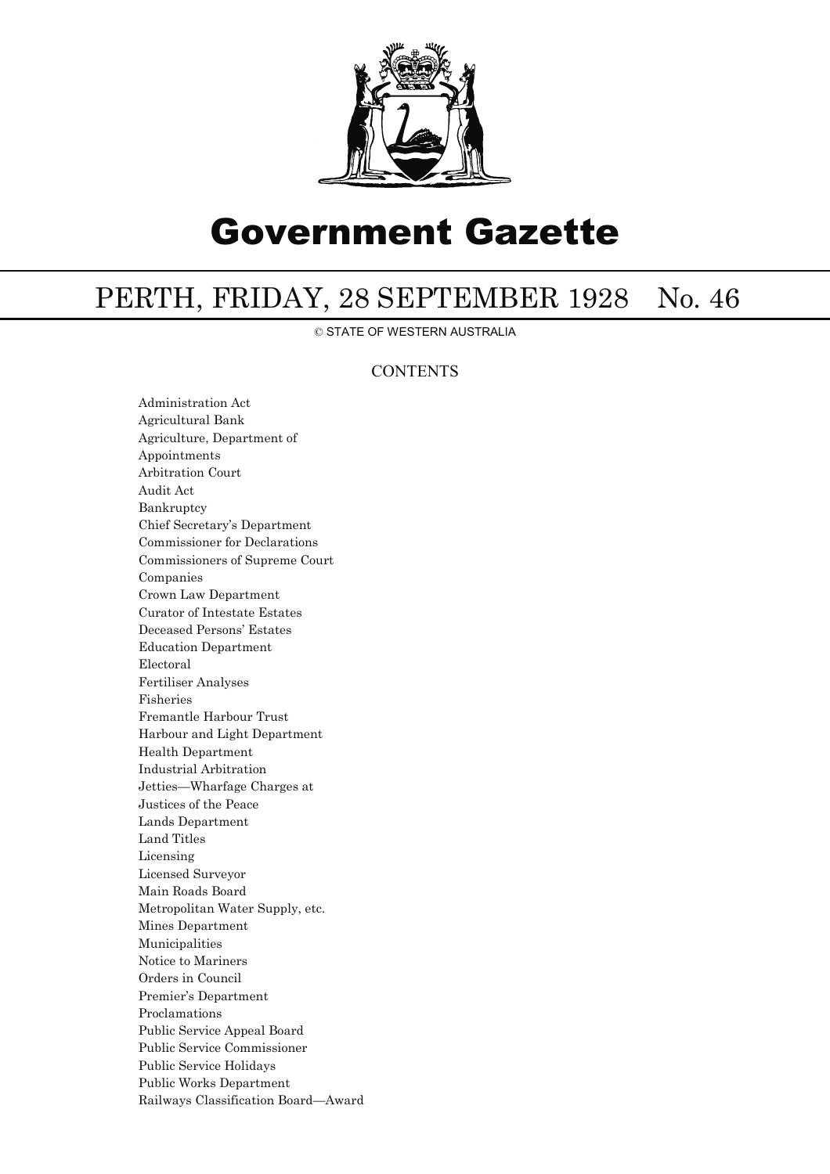

# Government Gazette

# PERTH, FRIDAY, 28 SEPTEMBER 1928 No. 46

© STATE OF WESTERN AUSTRALIA

## **CONTENTS**

Administration Act Agricultural Bank Agriculture, Department of Appointments Arbitration Court Audit Act Bankruptcy Chief Secretary's Department Commissioner for Declarations Commissioners of Supreme Court Companies Crown Law Department Curator of Intestate Estates Deceased Persons' Estates Education Department Electoral Fertiliser Analyses Fisheries Fremantle Harbour Trust Harbour and Light Department Health Department Industrial Arbitration Jetties—Wharfage Charges at Justices of the Peace Lands Department Land Titles Licensing Licensed Surveyor Main Roads Board Metropolitan Water Supply, etc. Mines Department Municipalities Notice to Mariners Orders in Council Premier's Department Proclamations Public Service Appeal Board Public Service Commissioner Public Service Holidays Public Works Department Railways Classification Board—Award